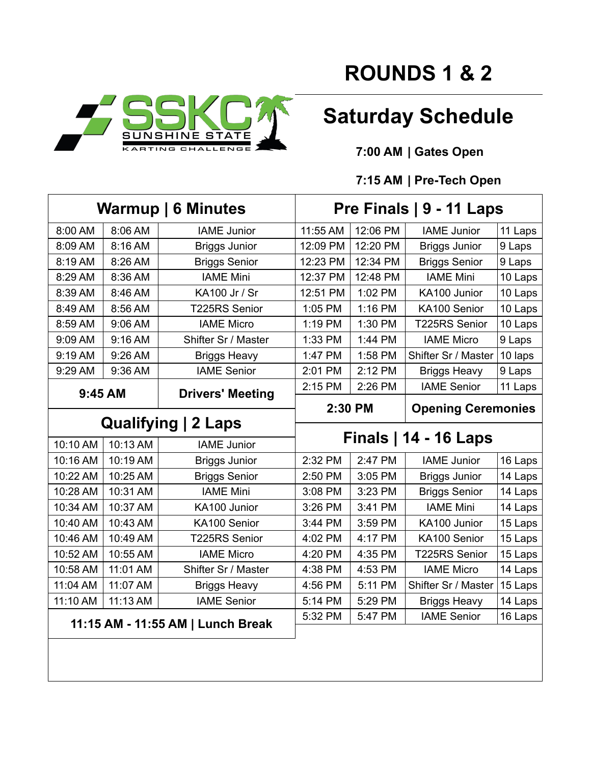

## **ROUNDS 1 & 2**

## **Saturday Schedule**

#### **7:00 AM | Gates Open**

**7:15 AM | Pre-Tech Open**

|                                    |          | Warmup   6 Minutes   | Pre Finals   9 - 11 Laps     |                    |                           |         |  |
|------------------------------------|----------|----------------------|------------------------------|--------------------|---------------------------|---------|--|
| 8:00 AM                            | 8:06 AM  | <b>IAME Junior</b>   | 11:55 AM                     | 12:06 PM           | <b>IAME Junior</b>        | 11 Laps |  |
| 8:09 AM                            | 8:16 AM  | <b>Briggs Junior</b> | 12:09 PM                     | 12:20 PM           | <b>Briggs Junior</b>      | 9 Laps  |  |
| 8:19 AM                            | 8:26 AM  | <b>Briggs Senior</b> | 12:23 PM                     | 12:34 PM           | <b>Briggs Senior</b>      | 9 Laps  |  |
| 8:29 AM                            | 8:36 AM  | <b>IAME Mini</b>     | 12:37 PM                     | 12:48 PM           | <b>IAME Mini</b>          | 10 Laps |  |
| 8:39 AM                            | 8:46 AM  | KA100 Jr / Sr        | 12:51 PM                     | 1:02 PM            | KA100 Junior              | 10 Laps |  |
| 8:49 AM                            | 8:56 AM  | <b>T225RS Senior</b> | 1:05 PM                      | 1:16 PM            | KA100 Senior              | 10 Laps |  |
| 8:59 AM                            | 9:06 AM  | <b>IAME Micro</b>    | 1:19 PM                      | 1:30 PM            | T225RS Senior             | 10 Laps |  |
| 9:09 AM                            | 9:16 AM  | Shifter Sr / Master  | 1:33 PM                      | 1:44 PM            | <b>IAME Micro</b>         | 9 Laps  |  |
| 9:19 AM                            | 9:26 AM  | <b>Briggs Heavy</b>  | 1:47 PM                      | 1:58 PM            | Shifter Sr / Master       | 10 laps |  |
| 9:29 AM                            | 9:36 AM  | <b>IAME Senior</b>   | 2:01 PM                      | 2:12 PM            | <b>Briggs Heavy</b>       | 9 Laps  |  |
| 9:45 AM<br><b>Drivers' Meeting</b> |          | 2:15 PM              | 2:26 PM                      | <b>IAME Senior</b> | 11 Laps                   |         |  |
|                                    |          |                      | 2:30 PM                      |                    | <b>Opening Ceremonies</b> |         |  |
| Qualifying   2 Laps                |          |                      |                              |                    |                           |         |  |
| 10:10 AM                           | 10:13 AM | <b>IAME Junior</b>   | <b>Finals   14 - 16 Laps</b> |                    |                           |         |  |
| 10:16 AM                           | 10:19 AM | <b>Briggs Junior</b> | 2:32 PM                      | 2:47 PM            | <b>IAME Junior</b>        | 16 Laps |  |
| 10:22 AM                           | 10:25 AM | <b>Briggs Senior</b> | 2:50 PM                      | 3:05 PM            | <b>Briggs Junior</b>      | 14 Laps |  |
| 10:28 AM                           | 10:31 AM |                      |                              |                    |                           |         |  |
|                                    |          | <b>IAME Mini</b>     | 3:08 PM                      | 3:23 PM            | <b>Briggs Senior</b>      | 14 Laps |  |
| 10:34 AM                           | 10:37 AM | KA100 Junior         | 3:26 PM                      | 3:41 PM            | <b>IAME Mini</b>          | 14 Laps |  |
| 10:40 AM                           | 10:43 AM | KA100 Senior         | 3:44 PM                      | 3:59 PM            | KA100 Junior              | 15 Laps |  |
| 10:46 AM                           | 10:49 AM | <b>T225RS Senior</b> | 4:02 PM                      | 4:17 PM            | KA100 Senior              | 15 Laps |  |
| 10:52 AM                           | 10:55 AM | <b>IAME Micro</b>    | 4:20 PM                      | 4:35 PM            | <b>T225RS Senior</b>      | 15 Laps |  |
| 10:58 AM                           | 11:01 AM | Shifter Sr / Master  | 4:38 PM                      | 4:53 PM            | <b>IAME Micro</b>         | 14 Laps |  |
| 11:04 AM                           | 11:07 AM | <b>Briggs Heavy</b>  | 4:56 PM                      | 5:11 PM            | Shifter Sr / Master       | 15 Laps |  |
| 11:10 AM                           | 11:13 AM | <b>IAME Senior</b>   | 5:14 PM                      | 5:29 PM            | <b>Briggs Heavy</b>       | 14 Laps |  |